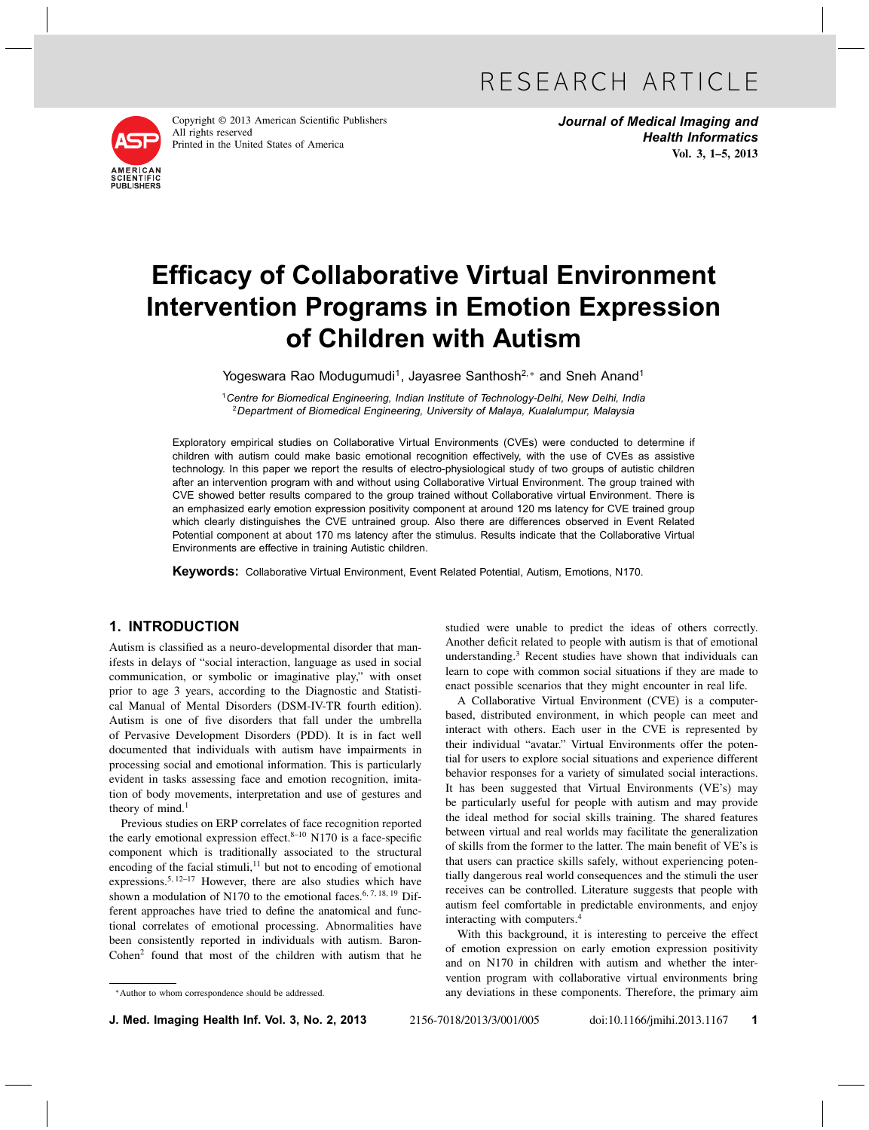

Copyright © 2013 American Scientific Publishers All rights reserved Printed in the United States of America

Journal of Medical Imaging and Health Informatics Vol. 3, 1–5, 2013

# Efficacy of Collaborative Virtual Environment Intervention Programs in Emotion Expression of Children with Autism

Yogeswara Rao Modugumudi<sup>1</sup>, Jayasree Santhosh<sup>2,\*</sup> and Sneh Anand<sup>1</sup>

<sup>1</sup> Centre for Biomedical Engineering, Indian Institute of Technology-Delhi, New Delhi, India <sup>2</sup>Department of Biomedical Engineering, University of Malaya, Kualalumpur, Malaysia

Exploratory empirical studies on Collaborative Virtual Environments (CVEs) were conducted to determine if children with autism could make basic emotional recognition effectively, with the use of CVEs as assistive technology. In this paper we report the results of electro-physiological study of two groups of autistic children after an intervention program with and without using Collaborative Virtual Environment. The group trained with CVE showed better results compared to the group trained without Collaborative virtual Environment. There is an emphasized early emotion expression positivity component at around 120 ms latency for CVE trained group which clearly distinguishes the CVE untrained group. Also there are differences observed in Event Related Potential component at about 170 ms latency after the stimulus. Results indicate that the Collaborative Virtual Environments are effective in training Autistic children.

Keywords: Collaborative Virtual Environment, Event Related Potential, Autism, Emotions, N170.

# 1. INTRODUCTION

Autism is classified as a neuro-developmental disorder that manifests in delays of "social interaction, language as used in social communication, or symbolic or imaginative play," with onset prior to age 3 years, according to the Diagnostic and Statistical Manual of Mental Disorders (DSM-IV-TR fourth edition). Autism is one of five disorders that fall under the umbrella of Pervasive Development Disorders (PDD). It is in fact well documented that individuals with autism have impairments in processing social and emotional information. This is particularly evident in tasks assessing face and emotion recognition, imitation of body movements, interpretation and use of gestures and theory of mind. $<sup>1</sup>$ </sup>

Previous studies on ERP correlates of face recognition reported the early emotional expression effect. $8-10$  N170 is a face-specific component which is traditionally associated to the structural encoding of the facial stimuli, $11$  but not to encoding of emotional expressions.<sup>5, 12-17</sup> However, there are also studies which have shown a modulation of N170 to the emotional faces.<sup>6, 7, 18, 19</sup> Different approaches have tried to define the anatomical and functional correlates of emotional processing. Abnormalities have been consistently reported in individuals with autism. Baron- $Cohen<sup>2</sup>$  found that most of the children with autism that he

∗Author to whom correspondence should be addressed.

studied were unable to predict the ideas of others correctly. Another deficit related to people with autism is that of emotional understanding.3 Recent studies have shown that individuals can learn to cope with common social situations if they are made to enact possible scenarios that they might encounter in real life.

A Collaborative Virtual Environment (CVE) is a computerbased, distributed environment, in which people can meet and interact with others. Each user in the CVE is represented by their individual "avatar." Virtual Environments offer the potential for users to explore social situations and experience different behavior responses for a variety of simulated social interactions. It has been suggested that Virtual Environments (VE's) may be particularly useful for people with autism and may provide the ideal method for social skills training. The shared features between virtual and real worlds may facilitate the generalization of skills from the former to the latter. The main benefit of VE's is that users can practice skills safely, without experiencing potentially dangerous real world consequences and the stimuli the user receives can be controlled. Literature suggests that people with autism feel comfortable in predictable environments, and enjoy interacting with computers.4

With this background, it is interesting to perceive the effect of emotion expression on early emotion expression positivity and on N170 in children with autism and whether the intervention program with collaborative virtual environments bring any deviations in these components. Therefore, the primary aim

**J. Med. Imaging Health Inf. Vol. 3, No. 2, 2013** 2156-7018/2013/3/001/005 doi:10.1166/jmihi.2013.1167 1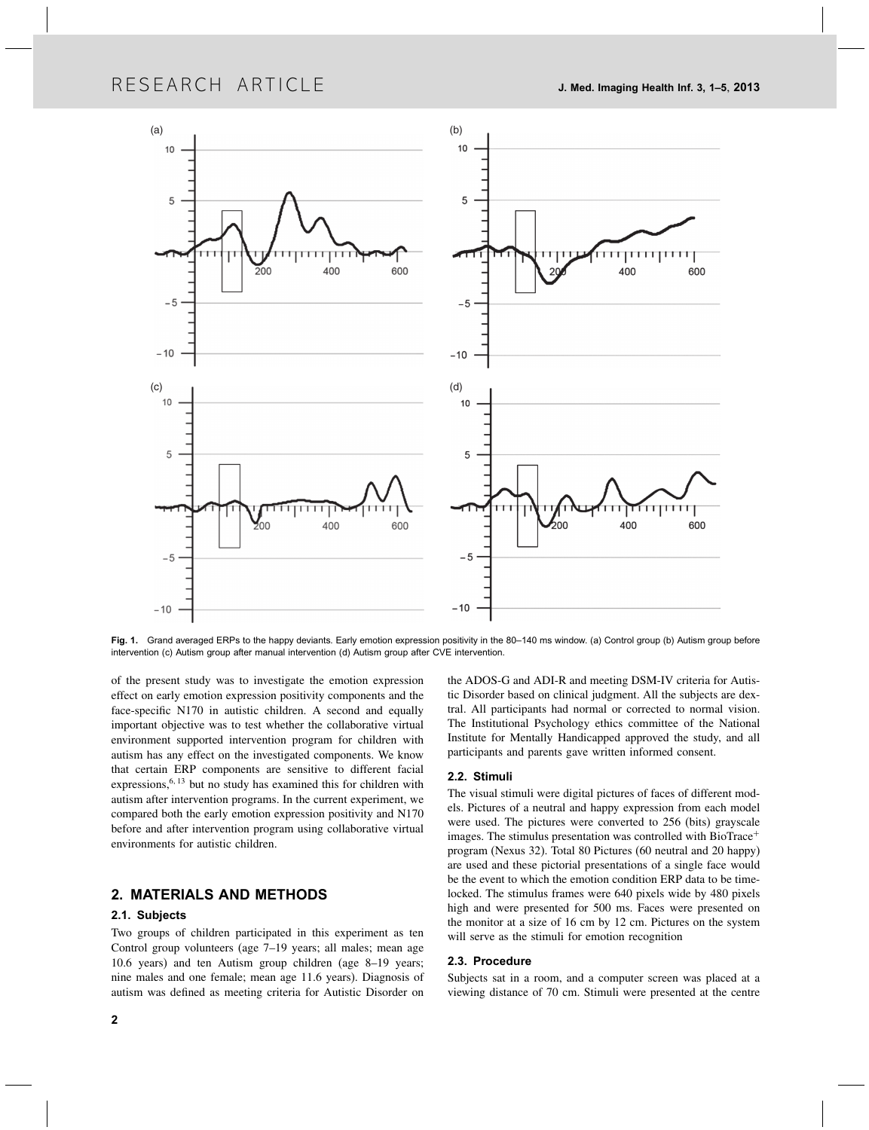# RESEARCH ARTICLE J. Med. Imaging Health Inf. 3, 1–5, 2013



Fig. 1. Grand averaged ERPs to the happy deviants. Early emotion expression positivity in the 80-140 ms window. (a) Control group (b) Autism group before intervention (c) Autism group after manual intervention (d) Autism group after CVE intervention.

of the present study was to investigate the emotion expression effect on early emotion expression positivity components and the face-specific N170 in autistic children. A second and equally important objective was to test whether the collaborative virtual environment supported intervention program for children with autism has any effect on the investigated components. We know that certain ERP components are sensitive to different facial expressions,<sup>6, 13</sup> but no study has examined this for children with autism after intervention programs. In the current experiment, we compared both the early emotion expression positivity and N170 before and after intervention program using collaborative virtual environments for autistic children.

# 2. MATERIALS AND METHODS

# 2.1. Subjects

Two groups of children participated in this experiment as ten Control group volunteers (age 7–19 years; all males; mean age 10.6 years) and ten Autism group children (age 8–19 years; nine males and one female; mean age 11.6 years). Diagnosis of autism was defined as meeting criteria for Autistic Disorder on

the ADOS-G and ADI-R and meeting DSM-IV criteria for Autistic Disorder based on clinical judgment. All the subjects are dextral. All participants had normal or corrected to normal vision. The Institutional Psychology ethics committee of the National Institute for Mentally Handicapped approved the study, and all participants and parents gave written informed consent.

## 2.2. Stimuli

The visual stimuli were digital pictures of faces of different models. Pictures of a neutral and happy expression from each model were used. The pictures were converted to 256 (bits) grayscale images. The stimulus presentation was controlled with BioTrace<sup>+</sup> program (Nexus 32). Total 80 Pictures (60 neutral and 20 happy) are used and these pictorial presentations of a single face would be the event to which the emotion condition ERP data to be timelocked. The stimulus frames were 640 pixels wide by 480 pixels high and were presented for 500 ms. Faces were presented on the monitor at a size of 16 cm by 12 cm. Pictures on the system will serve as the stimuli for emotion recognition

#### 2.3. Procedure

Subjects sat in a room, and a computer screen was placed at a viewing distance of 70 cm. Stimuli were presented at the centre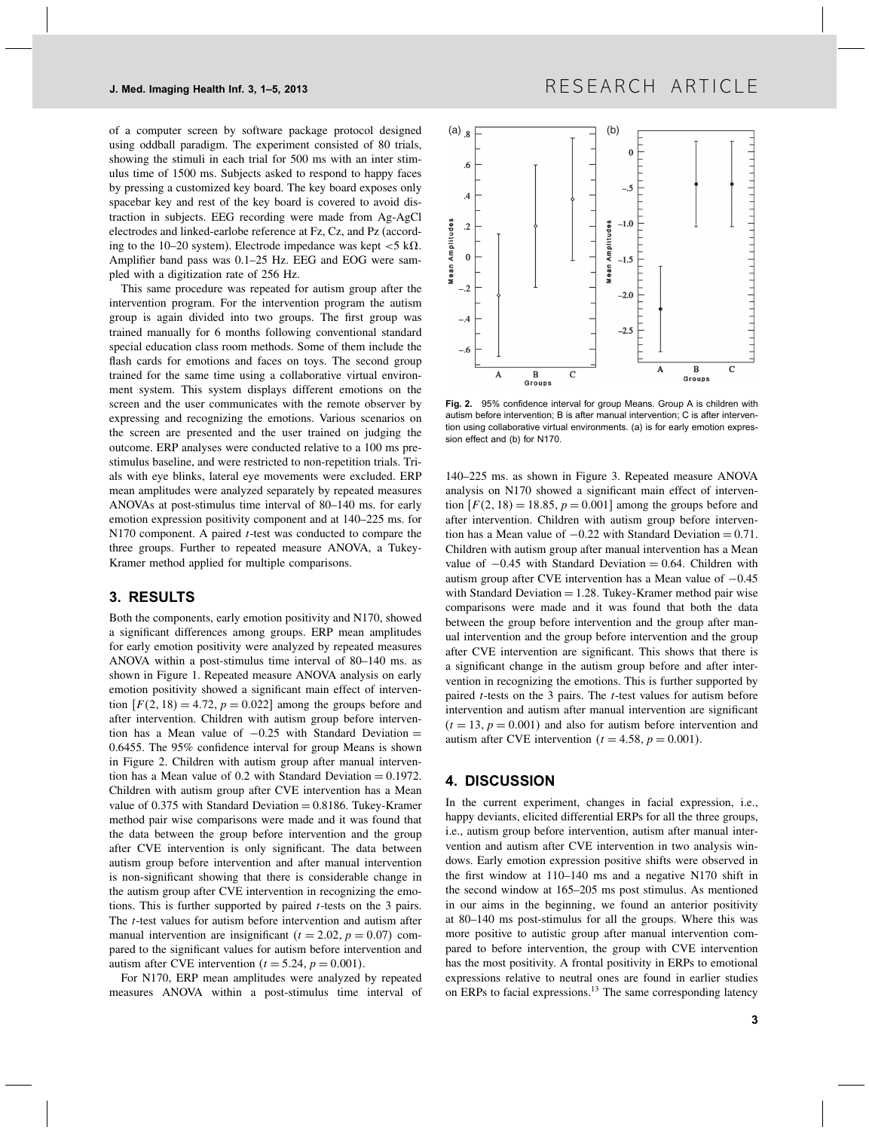of a computer screen by software package protocol designed using oddball paradigm. The experiment consisted of 80 trials, showing the stimuli in each trial for 500 ms with an inter stimulus time of 1500 ms. Subjects asked to respond to happy faces by pressing a customized key board. The key board exposes only spacebar key and rest of the key board is covered to avoid distraction in subjects. EEG recording were made from Ag-AgCl electrodes and linked-earlobe reference at Fz, Cz, and Pz (according to the 10–20 system). Electrode impedance was kept  $<$  5 k $\Omega$ . Amplifier band pass was 0.1–25 Hz. EEG and EOG were sampled with a digitization rate of 256 Hz.

This same procedure was repeated for autism group after the intervention program. For the intervention program the autism group is again divided into two groups. The first group was trained manually for 6 months following conventional standard special education class room methods. Some of them include the flash cards for emotions and faces on toys. The second group trained for the same time using a collaborative virtual environment system. This system displays different emotions on the screen and the user communicates with the remote observer by expressing and recognizing the emotions. Various scenarios on the screen are presented and the user trained on judging the outcome. ERP analyses were conducted relative to a 100 ms prestimulus baseline, and were restricted to non-repetition trials. Trials with eye blinks, lateral eye movements were excluded. ERP mean amplitudes were analyzed separately by repeated measures ANOVAs at post-stimulus time interval of 80–140 ms. for early emotion expression positivity component and at 140–225 ms. for  $N170$  component. A paired  $t$ -test was conducted to compare the three groups. Further to repeated measure ANOVA, a Tukey-Kramer method applied for multiple comparisons.

### 3. RESULTS

Both the components, early emotion positivity and N170, showed a significant differences among groups. ERP mean amplitudes for early emotion positivity were analyzed by repeated measures ANOVA within a post-stimulus time interval of 80–140 ms. as shown in Figure 1. Repeated measure ANOVA analysis on early emotion positivity showed a significant main effect of intervention  $[F(2, 18) = 4.72, p = 0.022]$  among the groups before and after intervention. Children with autism group before intervention has a Mean value of  $-0.25$  with Standard Deviation = 0.6455. The 95% confidence interval for group Means is shown in Figure 2. Children with autism group after manual intervention has a Mean value of  $0.2$  with Standard Deviation = 0.1972. Children with autism group after CVE intervention has a Mean value of  $0.375$  with Standard Deviation = 0.8186. Tukey-Kramer method pair wise comparisons were made and it was found that the data between the group before intervention and the group after CVE intervention is only significant. The data between autism group before intervention and after manual intervention is non-significant showing that there is considerable change in the autism group after CVE intervention in recognizing the emotions. This is further supported by paired  $t$ -tests on the 3 pairs. The t-test values for autism before intervention and autism after manual intervention are insignificant ( $t = 2.02$ ,  $p = 0.07$ ) compared to the significant values for autism before intervention and autism after CVE intervention  $(t = 5.24, p = 0.001)$ .

For N170, ERP mean amplitudes were analyzed by repeated measures ANOVA within a post-stimulus time interval of



Fig. 2. 95% confidence interval for group Means. Group A is children with autism before intervention; B is after manual intervention; C is after intervention using collaborative virtual environments. (a) is for early emotion expression effect and (b) for N170.

140–225 ms. as shown in Figure 3. Repeated measure ANOVA analysis on N170 showed a significant main effect of intervention  $[F(2, 18) = 18.85, p = 0.001]$  among the groups before and after intervention. Children with autism group before intervention has a Mean value of  $-0.22$  with Standard Deviation = 0.71. Children with autism group after manual intervention has a Mean value of  $-0.45$  with Standard Deviation = 0.64. Children with autism group after CVE intervention has a Mean value of −0.45 with Standard Deviation  $= 1.28$ . Tukey-Kramer method pair wise comparisons were made and it was found that both the data between the group before intervention and the group after manual intervention and the group before intervention and the group after CVE intervention are significant. This shows that there is a significant change in the autism group before and after intervention in recognizing the emotions. This is further supported by paired  $t$ -tests on the 3 pairs. The  $t$ -test values for autism before intervention and autism after manual intervention are significant  $(t = 13, p = 0.001)$  and also for autism before intervention and autism after CVE intervention ( $t = 4.58$ ,  $p = 0.001$ ).

### 4. DISCUSSION

In the current experiment, changes in facial expression, i.e., happy deviants, elicited differential ERPs for all the three groups, i.e., autism group before intervention, autism after manual intervention and autism after CVE intervention in two analysis windows. Early emotion expression positive shifts were observed in the first window at 110–140 ms and a negative N170 shift in the second window at 165–205 ms post stimulus. As mentioned in our aims in the beginning, we found an anterior positivity at 80–140 ms post-stimulus for all the groups. Where this was more positive to autistic group after manual intervention compared to before intervention, the group with CVE intervention has the most positivity. A frontal positivity in ERPs to emotional expressions relative to neutral ones are found in earlier studies on ERPs to facial expressions.<sup>13</sup> The same corresponding latency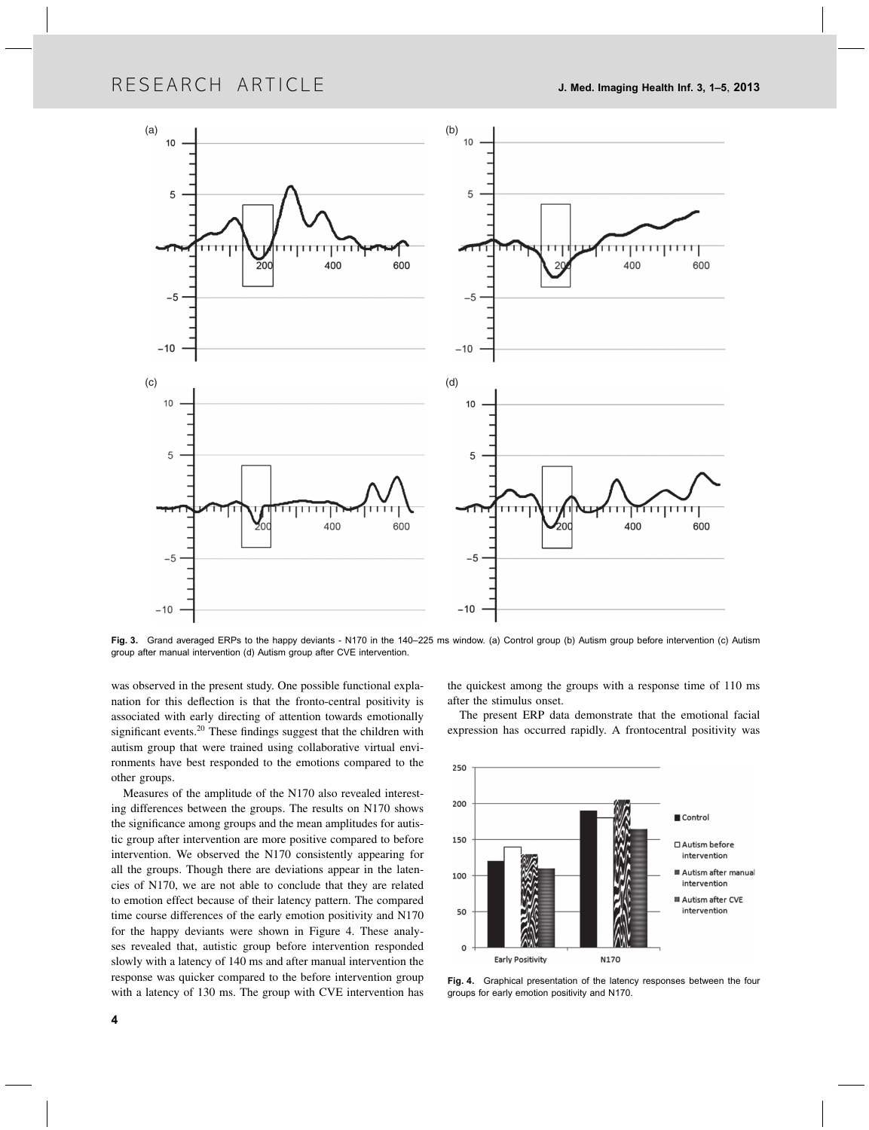# RESEARCH ARTICLE 3, 1-5, 2013



Fig. 3. Grand averaged ERPs to the happy deviants - N170 in the 140–225 ms window. (a) Control group (b) Autism group before intervention (c) Autism group after manual intervention (d) Autism group after CVE intervention.

was observed in the present study. One possible functional explanation for this deflection is that the fronto-central positivity is associated with early directing of attention towards emotionally significant events.20 These findings suggest that the children with autism group that were trained using collaborative virtual environments have best responded to the emotions compared to the other groups.

Measures of the amplitude of the N170 also revealed interesting differences between the groups. The results on N170 shows the significance among groups and the mean amplitudes for autistic group after intervention are more positive compared to before intervention. We observed the N170 consistently appearing for all the groups. Though there are deviations appear in the latencies of N170, we are not able to conclude that they are related to emotion effect because of their latency pattern. The compared time course differences of the early emotion positivity and N170 for the happy deviants were shown in Figure 4. These analyses revealed that, autistic group before intervention responded slowly with a latency of 140 ms and after manual intervention the response was quicker compared to the before intervention group with a latency of 130 ms. The group with CVE intervention has

the quickest among the groups with a response time of 110 ms after the stimulus onset.

The present ERP data demonstrate that the emotional facial expression has occurred rapidly. A frontocentral positivity was



Fig. 4. Graphical presentation of the latency responses between the four groups for early emotion positivity and N170.